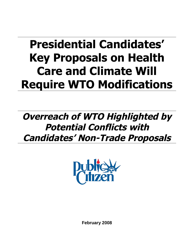# **Presidential Candidates' Key Proposals on Health Care and Climate Will Require WTO Modifications**

# **Overreach of WTO Highlighted by Potential Conflicts with Candidates' Non-Trade Proposals**



**February 2008**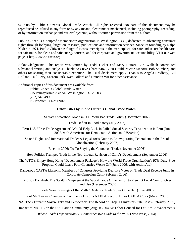© 2008 by Public Citizen's Global Trade Watch. All rights reserved. No part of this document may be reproduced or utilized in any form or by any means, electronic or mechanical, including photography, recording, or by information exchange and retrieval systems, without written permission from the authors.

Public Citizen is a nonprofit membership organization in Washington, D.C., dedicated to advancing consumer rights through lobbying, litigation, research, publications and information services. Since its founding by Ralph Nader in 1971, Public Citizen has fought for consumer rights in the marketplace, for safe and secure health care, for fair trade, for clean and safe energy sources, and for corporate and government accountability. Visit our web page at http://www.citizen.org.

Acknowledgments: This report was written by Todd Tucker and Mary Bottari. Lori Wallach contributed substantial writing and analysis. Thanks to Steve Charnovitz, Ellen Gould, Victor Menotti, Bob Stumberg and others for sharing their considerable expertise. The usual disclaimers apply. Thanks to Angela Bradbery, Bill Holland, Paul Levy, Saerom Park, Kate Pollard and Brandon Wu for other assistance.

Additional copies of this document are available from: Public Citizen's Global Trade Watch 215 Pennsylvania Ave SE, Washington, DC 20003 (202) 546-4996 PC Product ID No: E9029

#### **Other Titles by Public Citizen's Global Trade Watch:**

Santa's Sweatshop: Made in D.C. With Bad Trade Policy (December 2007)

Trade Deficit in Food Safety (July 2007)

Peru-U.S. "Free Trade Agreement" Would Help Lock-In Failed Social Security Privatization in Peru (June 2007, with Americans for Democratic Action and USAction)

States' Rights and International Trade: A Legislator's Guide to Reinvigorating Federalism in the Era of Globalization (February 2007)

Election 2006: No To Staying the Course on Trade (November 2006)

How Politics Trumped Truth in the Neo-Liberal Revision of Chile's Development (September 2006)

The WTO's Empty Hong Kong "Development Package": How the World Trade Organization's 97% Duty-Free Proposal Could Leave Poor Countries Worse Off (June 2006; with ActionAid)

Dangerous CAFTA Liaisons: Members of Congress Providing Decisive Votes on Trade Deal Receive Jump in Corporate Campaign Cash (February 2006)

Big Box Backlash: The Stealth Campaign at the World Trade Organization to Preempt Local Control Over Land Use (December 2005)

Trade Wars: Revenge of the Myth / Deals for Trade Votes Gone Bad (June 2005)

Fool Me Twice? Chamber of Commerce Distorts NAFTA Record, Hides CAFTA Costs (March 2005)

NAFTA's Threat to Sovereignty and Democracy: The Record of Chap. 11 Investor-State Cases (February 2005)

#### Impact of NAFTA on the U.S. Latino Community (August 2004, w/ Labor Council for Lat. Am. Advancement)

*Whose Trade Organization? A Comprehensive Guide to the WTO* (New Press, 2004)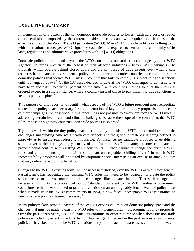# **EXECUTIVE SUMMARY**

Implementation of a dozen of the key domestic non-trade policies to lower health care costs or reduce carbon emissions proposed by the current presidential candidates will require modifications to the expansive rules of the World Trade Organization (WTO). Many WTO rules have little or nothing to do with international trade, yet WTO signatory countries are required to "ensure the conformity of its laws, regulations and administrative procedures with its [WTO] obligations."<sup>[1](#page-28-0)</sup>

Domestic policies that extend beyond the WTO constraints are subject to challenge by other WTO signatory countries – often at the behest of their affected industries – before WTO tribunals. The tribunals, which operate behind closed doors and are composed of trade experts even when a case concerns health care or environmental policy, are empowered to order countries to eliminate or alter domestic policies that violate WTO rules. A country that fails to comply is subject to trade sanctions untilit changes its laws.<sup>2</sup> Of the 137 cases decided to date at the WTO, challenges to domestic laws havebeen successful nearly 90 percent of the time,<sup>3</sup> with countries moving to alter their laws as ordered except in a single instance, where a country instead chose to pay indefinite trade sanctions to keep its policy in place.<sup>[4](#page-28-3)</sup>

This purpose of this report is to identify what aspects of the WTO a future president must renegotiate to create the policy space necessary for implementation of key domestic policy proposals at the center of their campaigns. As described in this report, it is not possible to "work around" the WTO rules in addressing certain health care and climate challenges, because the scope of the constraints that WTO rules impose on signatory countries' non-trade policies is so broad.

Trying to work within the tiny policy space permitted by the existing WTO rules would result in the challenges surrounding America's health care debacle and the global climate crisis being defined so narrowly as to ensure real redress is impossible. For instance, no candidate proposes to establish a single payer health care system, yet many of the "market-based" regulatory reforms candidates do propose could conflict with existing WTO constraints. Further, failure to change the existing WTO rules and commitments up front will result in an unacceptable "chilling effect," in which WTO incompatibility problems will be touted by corporate special interests as an excuse to attack policies that may deliver broad public benefits.

Changes to the WTO's existing terms will be necessary. Indeed, even the WTO's own director general, Pascal Lamy, has recognized that existing WTO rules may need to be "adapted" to create the policy space needed to address major non-trade challenges like climate change.<sup>[5](#page-28-4)</sup> That such changes are necessary highlights the problem of policy "standstill" inherent to the WTO: unless a government could foresee that it would need to take future action on an unimaginably broad swath of policy areas when it made its initial WTO commitments in 1994, it now faces unacceptable WTO constraints on new non-trade policies deemed necessary.<sup>[6](#page-28-5)</sup>

Many policymakers remain unaware of the WTO's expansive limits on domestic policy space and the changes that must be made to existing WTO rules to implement their most prominent policy proposals. Over the past dozen years, U.S. policymakers continue to express surprise when domestic non-trade policies – including recently the U.S. ban on Internet gambling and in the past various environmental policies – have been ruled to be WTO violations. In part, this lack of awareness stems from the way in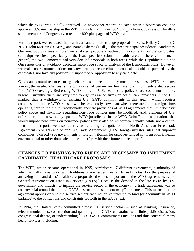which the WTO was initially approved. As newspaper reports indicated when a bipartisan coalition approved U.S. membership in the WTO by wide margins in 1994 during a lame-duck session, hardly a singlemember of Congress even read the 800-plus pages of WTO text.<sup>7</sup>

For this report, we reviewed the health care and climate change proposals of Sens. Hillary Clinton (D-N.Y.), John McCain (R-Ariz.), and Barack Obama (D-Ill.) – the three principal presidential candidates. Our methodology was simple: we analyzed proposals outlined in documents on the candidates' campaign websites, specifically in the issue-specific sections on health care and the environment. In general, the two Democrats had very detailed proposals in both areas, while the Republican did not. Our report thus unavoidably dedicates more page space to analysis of the Democratic plans. However, we make no recommendations on *what* health care or climate proposals should be pursued by the candidates, nor take any positions in support of or opposition to any candidate.

Candidates committed to ensuring their proposals become policy must address these WTO problems. Among the needed changes is the withdrawal of certain key health- and environment-related sectors from WTO coverage. Redressing WTO limits on U.S. health care policy space could not be more urgent. Currently there are very few foreign insurance firms or health care providers in the U.S. market, thus a withdrawal of existing U.S. GATS commitments in this area – which requires compensation under WTO rules – will be less costly now than when there are more foreign firms operating here in the future. Additionally, specific provisions of WTO agreements that limit domestic policy space and flexibility regarding non-trade policies must be modified. And, elements of U.S. offers to commit new policy space to WTO jurisdiction in the WTO Doha Round negotiations that would impose new limits on non-trade policies must also be withdrawn. Finally, while not a central focus of the report, we also identify as requiring renegotiation the North American Free Trade Agreement (NAFTA) and other "Free Trade Agreement" (FTA) foreign investor rules that empower companies to directly sue governments in foreign tribunals for taxpayer-funded compensation if health, environmental or other domestic policies interfere with their future expected profits.

### **CHANGES TO EXISTING WTO RULES ARE NECESSARY TO IMPLEMENT CANDIDATES' HEALTH CARE PROPOSALS**

The WTO, which became operational in 1995, administers 17 different agreements, a minority of which actually have to do with traditional trade issues like tariffs and quotas. For the purpose of analyzing the candidates' health care proposals, the most important of the WTO agreements is the General Agreement on Trade in Services (GATS).<sup>[8](#page-28-7)</sup> Because the demand in the late 1980s by U.S. government and industry to include the service sector of the economy in a trade agreement was so controversial around the globe,<sup>[9](#page-28-8)</sup> GATS is structured as a "bottom-up" agreement. This means that the agreement applies only to the service sectors each nation volunteered to bind (or "commit" in WTO parlance) to the obligations and constraints set forth in the GATS text.

In 1994, the United States committed almost 100 service sectors – such as banking, insurance, telecommunications, construction and gambling – to GATS constraints with little public discussion, congressional debate, or understanding.<sup>[10](#page-28-9)</sup> U.S. GATS commitments include (and thus constrain) many health services, including**:**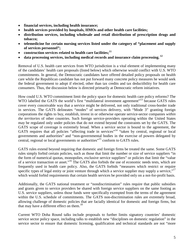- **financial services, including health insurance;**
- **health services provided by hospitals, HMOs and other health care facilities;**
- **distribution services, including wholesale and retail distribution of prescription drugs and tobacco;**
- **telemedicine for certain nursing services listed under the category of "placement and supply of services personnel";**
- **construction services related to health care facilities;[11](#page-28-10)**
- **data processing services, including medical records and insurance claim processing. [12](#page-28-11)**

Removal of U.S. health care services from WTO jurisdiction is a vital element of implementing many of the candidates' health care proposals (listed below) which otherwise would conflict with U.S. WTO commitments. In general, the Democratic candidates have offered detailed policy proposals on health care while the Republican candidate has not put forward many concrete policy measures he would seek the federal government to adopt if elected, other than tax credits and tax deductibility for health care consumers. Thus, the discussion below is directed primarily at Democratic reform initiatives.

How could U.S. WTO commitment limit the policy space for domestic health care policy reforms? The WTO labelled the GATS the world's first "multilateral investment agreement"<sup>[13](#page-28-12)</sup> because GATS rules cover every conceivable way that a service might be delivered, not only traditional cross-border trade in services. The GATS delineates "modes" of services delivery, with "Mode 3" granting foreign corporations the rights to buy, establish, invest in or otherwise operate service-sector companies *within the territories* of other countries. Such foreign service-providers operating within the United States may be regulated only under policies that do not extend beyond the constraints set by the GATS. The GATS scope of coverage is extremely broad. When a service sector is bound to the agreement, the GATS requires that all policies "affecting trade in services"<sup>[14](#page-28-13)</sup> "taken by central, regional or local governments and authorities" and "non-governmental bodies in the exercise of powers delegated by central, regional or local governments or authorities"[15](#page-28-14) conform to GATS rules.

GATS rules extend beyond requiring that domestic and foreign firms be treated the same. Some GATS rules simply forbid certain policies, such as those that limit the number or size of service suppliers "in the form of numerical quotas, monopolies, exclusive service suppliers" or policies that limit the "value of a service transaction or asset."[16](#page-28-15) The GATS also forbids the use of economic needs tests, which are frequently used in health care policy. Also, the GATS forbids "measures which restrict or require specific types of legal entity or joint venture through which a service supplier may supply a service,"<sup>[17](#page-28-16)</sup> which would forbid requirements that certain health services be provided only on a not-for-profit basis.

Additionally, the GATS national treatment or "nondiscrimination" rules require that public subsidies and grants given to service providers be shared with foreign service suppliers on the same footing as U.S. service suppliers, unless those funds were specifically exempted from the terms of the agreement within the U.S. schedule of commitments. The GATS non-discrimination rules are extremely broad, allowing challenge of domestic policies that are facially identical for domestic and foreign firms, but that may have a different effect on them.<sup>[18](#page-28-17)</sup>

Current WTO Doha Round talks include proposals to further limits signatory countries' domestic service sector policy space, including talks to establish new "disciplines on domestic regulation" in the service sector to ensure that domestic licensing, qualification and technical standards are not "more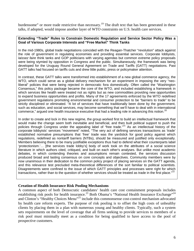burdensome" or more trade restrictive than necessary.<sup>[19](#page-28-18)</sup> The draft text that has been generated in these talks, if adopted, would impose another layer of WTO constraints on U.S. health care services.

#### **Extending "Trade" Rules to Constrain Domestic Regulation and Service Sector Policy Was a Goal of Various Corporate Interests and "Free Market" Think Tanks**

In the mid-1980s, global trade negotiations coincided with the Reagan-Thatcher "revolution" attack against the role of government in regulating economies and providing essential services. Corporate lobbyists, *laissez faire* think tanks and GOP politicians with varying agendas but common extreme policy proposals were being stymied by opposition in Congress and the public. Simultaneously, the framework was being developed for the Uruguay Round General Agreement on Trade and Tariffs (GATT) negotiations. Past GATT talks had focused on tariffs cuts and drew little public, press or policymaker attention.

In contrast, these GATT talks were transformed into establishment of a new global commerce agency, the WTO, which could serve as a global delivery mechanism for an experiment in imposing the very "neoliberal" policies that were being rejected in democratic fora domestically. Often called the "Washington Consensus," this policy package became the core of the WTO, and included establishing a framework in which services like health were treated not as rights but as new commodities providing new opportunities to expand business opportunities and profits. Many of the 17 agreements enforced by the WTO redefined government regulations promoting environmental and consumer protection to be "barriers to trade" to be strictly disciplined or eliminated. "A lot of services that have traditionally been done by the government, such as education, and social services, may become something that we'll have to deal with in international commerce," argued one health insurance executive that had a leading role in advancing this notion.<sup>[20](#page-28-19)</sup>

In order to create and lock in this new regime, the group worked first to build an intellectual framework that would make the change seem both inevitable and beneficial, and then built political support to push the policies through Congress under the appealing label of "free trade."<sup>[21](#page-28-20)</sup> As an intellectual history of the corporate lobbyists' services "movement" noted, "The very act of defining services transactions as 'trade' established normative presumptions that 'free' trade was the yardstick for good policy against which regulations, redefined as nontariff barriers (NTBs), should be measured and justified only exceptionally. Members believing there to be many justifiable exceptions thus had to defend what their counterparts label 'protectionism.'… [the services trade lobby's] body of work took on the attributes of a social science literature in which authors cited, critiqued, and built on each other's analyses. But unlike most academic debates, in which contending theories and assumptions remain contested, the services discussion produced broad and lasting consensus on core concepts and objectives. Community members were by now unanimous in their dedication to the common policy project of placing services on the GATT agenda, and this relevance test precluded meta-theoretical differences of the sort familiar to political scientists. Disagreements were confined to the issue of which GATT principles and processes were right for which transactions, rather than to the question of whether services should be treated as trade in the first place."<sup>[22](#page-28-21)</sup>

#### **Creation of Health Insurance Risk Pooling Mechanisms**

A common aspect of both Democratic candidates' health care cost containment proposals includes establishing risk pools for health insurance.<sup>[23](#page-28-22)</sup> Both Obama's "National Health Insurance Exchange"<sup>[24](#page-28-23)</sup> and Clinton's "Healthy Choices Menu"<sup>[25](#page-28-24)</sup> include this commonsense cost-control mechanism advocated by health care reform experts. The purpose of risk pooling is to offset the high costs of unhealthy clients by placing them in a plan with numerous young and healthy clients. Typically, such a system sets requirements on the level of coverage that all firms seeking to provide services to members of a risk pool must minimally meet as a condition for being qualified to have access to the pool of prospective customers.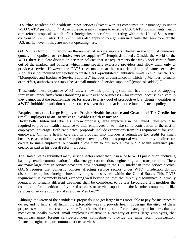U.S. "life, accident, and health insurance services (except workers compensation insurance)" is under WTO GATS' jurisdiction.<sup>[26](#page-28-25)</sup> Absent the necessary changes to existing U.S. GATS commitments, health care reform proposals which affect foreign insurance firms operating within the United States must conform to GATS rules. The GATS rules also apply to foreign insurance firms that seek to enter the U.S. market, even if they are not yet operating here.

GATS rules forbid "limitations on the number of service suppliers whether in the form of numerical quotas, monopolies, [or] **exclusive service suppliers**" [27](#page-28-26) [emphasis added]. Outside the world of the WTO, there is a clear distinction between policies that set requirements that *may* knock certain firms out of the market, and policies which name specific exclusive providers and allow them only to provide a service. However, the GATS rules make clear that a specific listing of named exclusive suppliers is not required for a policy to create GATS-prohibited quantitative limits. GATS Article 8 on "Monopolies and Exclusive Service Suppliers" includes circumstances in which "a Member, formally or **in effect,** authorizes or establishes a small number of service suppliers" [emphasis added].<sup>[28](#page-28-27)</sup>

Thus, under these expansive WTO rules, a new risk pooling system that has the effect of stopping foreign insurance firms from establishing new insurance businesses – for instance, because as a start up they cannot meet the requirements set for access to a risk pool of prospective U.S. clients – qualifies as a WTO-forbidden restriction on market access, even though that is not the intent of such a policy.

#### **Requirements that Large Employers Provide Health Insurance and Creation of Tax Credits for Small Employers as an Incentive to Provide Health Insurance**

Under both Clinton and Obama's reform proposals, large employers in the United States would be required to provide health insurance to their employees or to make some contribution to the cost of employees' coverage. Both candidates' proposals include exemptions from this requirement for small employers. Clinton's health care reform proposal also includes a refundable tax credit for small businesses as an incentive to offer employee coverage. Obama's proposal would not provide direct tax credits to small employers, but would allow them to buy into a new public health insurance plan created as part as his overall reform proposal.

The United States submitted many service sectors other than insurance to WTO jurisdiction, including banking, retail, communications/media, energy, construction, engineering, and transportation. There are many large foreign service-providers now operating in the U.S. market in these service sectors. GATS requires that domestic policies affecting service sectors under WTO jurisdiction do not discriminate against foreign firms providing such services within the United States. This GATS requirement is extremely broad, extending well beyond policies that directly discriminate: "Formally identical or formally different treatment shall be considered to be less favourable if it modifies the conditions of competition in favour of services or service suppliers of the Member compared to like services or service suppliers of any other Member."<sup>[29](#page-28-28)</sup>

Although the *intent* of the candidates' proposals is to get larger firms more able to pay for insurance to do so, and to help small firms find affordable ways to provide health coverage, the *effect* of these proposals would be to create favorable "conditions of competition" for a category of business that are most often locally owned (small employers) relative to a category of firms (large employers) that encompass many foreign service-providers competing to provide the same retail, construction, financial, engineering or communications services.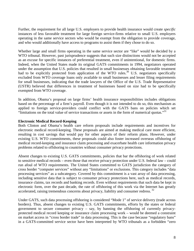Further, the requirement for all large U.S. employers to provide health insurance would create *specific* instances of less favorable treatment for large foreign service-firms relative to small U.S. employers operating in the same service sectors who would be exempt from the obligation to provide coverage, and who would additionally have access to programs to assist them if they chose to do so.

Whether large and small firms operating in the same service sector are "like" would be decided by a WTO tribunal. However, past jurisprudence suggests that such size distinctions would not be accepted as an excuse for specific instances of preferential treatment, even if unintentional, for domestic firms. Indeed, when the United States made its original GATS commitments in 1994, negotiators operated under the assumption that U.S. policies that resulted in small businesses obtaining favorable treatment had to be explicitly protected from application of the WTO rules.<sup>[30](#page-28-29)</sup> U.S. negotiators specifically excluded from WTO coverage loans only available to small businesses and lesser filing requirements for small businesses, indicating that the trade lawyers of the Office of the U.S. Trade Representative (USTR) believed that differences in treatment of businesses based on size had to be specifically exempted from WTO coverage.

In addition, Obama's proposal on large firms' health insurance responsibilities includes obligations based on the percentage of a firm's payroll. Even though it is not intended to do so, this mechanism as applied to foreign service-providers could conflict with the GATS bans on policies which set "limitations on the total value of service transactions or assets in the form of numerical quotas."<sup>[31](#page-28-30)</sup>

#### **Electronic Medical Record-Keeping**

Both Clinton and Obama's health care reform proposals include requirements and incentives for electronic medical record-keeping. These proposals are aimed at making medical care more efficient, resulting in cost savings that would pay for other aspects of their reform plans. However, under existing U.S. WTO commitments, these proposals could also foster increased overseas offshoring of medical record-keeping and insurance claim processing and exacerbate health care information privacy problems related to offshoring to countries without consumer privacy protections.

Absent changes to existing U.S. GATS commitments, policies that bar the offshoring of work related to sensitive medical records – even those that receive privacy protection under U.S. federal law – could run afoul of WTO requirements. The United States committed to GATS jurisdiction the category of cross border "computer services" without any "limitations" or exclusions. This category includes "data processing services" as a subcategory. Covered by this commitment is a vast array of data processing, including sensitive data that is subject to consumer privacy protections here, such as medical records, insurance claims, tax records and banking records. Even without requirements that such data be kept in electronic form, over the past decade, the rate of offshoring of this work via the Internet has greatly accelerated, raising tremendous concerns about privacy, liability and consumer redress.<sup>[32](#page-28-31)</sup>

Under GATS, such data processing offshoring is considered "Mode 1" of service delivery (trade across borders). Thus, absent changes to existing U.S. GATS commitments, efforts by the states or federal government to secure consumer privacy – say, by banning the offshoring of currently privacyprotected medical record keeping or insurance claim processing work – would be deemed a constraint on market access in "cross border trade" in data processing. This is the case because "regulatory bans" in a GATS-committed service sector have been interpreted by WTO tribunals as a forbidden "zero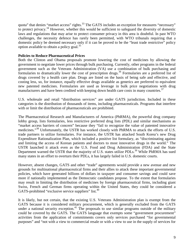quota" that denies "market access" rights.<sup>[33](#page-28-32)</sup> The GATS includes an exception for measures "necessary" to protect privacy. [34](#page-28-33) However, whether this would be sufficient to safeguard the diversity of domestic laws and regulations that may arise to protect consumer privacy in this area is doubtful. In past WTO challenges, the necessity defence has rarely been permitted, with WTO tribunals requiring that a domestic policy be deemed necessary only if it can be proved to be the "least trade restrictive" policy optionavailable to obtain a policy goal.<sup>35</sup>

#### **Policies to Reduce Pharmaceutical Prices**

Both the Clinton and Obama proposals promote lowering the cost of medicines by allowing the government to negotiate lower prices through bulk purchasing. Currently, other programs in the federal government such as the Veterans Administration (VA) use a combination of bulk purchasing and formularies to dramatically lower the cost of prescription drugs.[36](#page-28-16) Formularies are a preferred list of drugs covered by a health care plan. Drugs are listed on the basis of being safe and effective, and costing less, so, for instance, equally effective drugs available as generics are preferred to equivalent new patented medicines. Formularies are used as leverage in bulk price negotiations with drug manufacturers and have been credited with keeping down health care costs in many countries.<sup>[37](#page-28-18)</sup>

U.S. wholesale and retail "distribution services" are under GATS jurisdiction. Included in these categories is the distribution of thousands of items, including pharmaceuticals. Programs that interfere with or limit the distribution of pharmaceuticals are prohibited.

The Pharmaceutical Research and Manufacturers of America (PhRMA), the powerful drug company lobby group, lists formularies, less restrictive preferred drug lists (PDL) and similar mechanisms as "market access barriers of concern" because they "fail to recognize the value of patented innovative medicines."<sup>[38](#page-28-35)</sup> Unfortunately, the USTR has worked closely with PhRMA to attack the efforts of U.S. trade partners to utilize formularies. For instance, the USTR has attacked South Korea's new Drug Expenditure Rationalization Plan, which included a positive list formulary, as "discriminating against and limiting the access of Korean patients and doctors to most innovative drugs in the world." The USTR launched it attack even as the U.S. Food and Drug Administration (FDA) and the State Department warned the USTR that the majority of U.S. states utilize PDLs.<sup>[39](#page-28-36)</sup> While PhRMA has sued many states in an effort to overturn their PDLs, it has largely failed in U.S. domestic courts.

However, absent changes, GATS and other "trade" agreements would provide a new avenue and new grounds for multinational pharmaceutical firms and their allies to attack these important governmental policies, which have generated billions of dollars in taxpayer and consumer savings and could save more if nationally implemented as the Democratic candidates propose. To the extent that formularies may result in limiting the distribution of medicines by foreign pharmaceutical firms, including giant Swiss, French and German firms operating within the United States, they could be considered a GATS-prohibited"exclusive service suppliers" list[.](#page-28-37)<sup>40</sup>

It is likely, but not certain, that the existing U.S. Veterans Administration plan is exempt from the GATS because it is considered military procurement, which is generally excluded from the GATS under a national security exception.<sup>[41](#page-28-38)</sup> The proposals to use similar programs outside of the military could be covered by the GATS. The GATS language that exempts some "government procurement" activities from the application of commitments covers only services purchased "for governmental purposes" and "not with a view to commercial resale or with a view to use in the supply of services for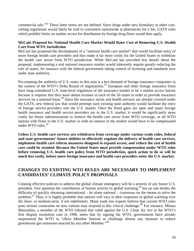commercial sale."[42](#page-28-21) These latter terms are not defined. Since drugs under new formulary or other costcutting regulations would likely be sold to consumers nationwide at pharmacies for a fee, GATS rules which prohibit limits on market access for distribution by foreign drug firms would then apply.

#### **McCain Proposal for National Health Care Market Would Raise Cost of Removing U.S. Health Care from WTO Jurisdiction**

McCain has proposed the development of a "national health care market" that would facilitate entry of more foreign health care providers and thus make it far more costly for the United States to withdraw the health care sector from WTO jurisdiction. While McCain has provided few details about the proposal, implementing a real national insurance market would inherently require greatly reducing the role of states, for instance with the federal government taking control of licensing and standards now under state authority.

Pre-empting the authority of U.S. states in this area is a key demand of foreign insurance companies in the context of the WTO's Doha Round of negotiations.<sup>[43](#page-28-39)</sup> European and other foreign insurance firms have long considered U.S. state-level regulation of the insurance market to be a market access barrier because it requires that they must obtain licenses in each of the 50 states in order to provide insurance services on a national basis.<sup>[44](#page-28-25)</sup> Since the insurance sector and health services are already covered under the GATS, new federal law that would preempt such existing state authority would facilitate the entry of foreign service-providers into the U.S. market. Once the flood gates are open and many foreign health insurance and health service providers are in the U.S. market, it would be significantly more costly for future administrations to remove the health care sector from WTO coverage, as all WTO nations with firms in the U.S. market or with an interest in the market would have to be compensated under WTO rules.<sup>[45](#page-28-40)</sup>

**Unless U.S. health care services are withdrawn from coverage under various trade rules, federal and state governments' future abilities to effectively regulate the delivery of health care services, implement health care reform measures designed to expand access, and reduce the cost of health care could be stymied. Because the United States must provide compensation under WTO rules before removing U.S. health care policy from WTO jurisdiction, quick action to do so will be much less costly, before more foreign insurance and health care providers enter the U.S. market.**

# **CHANGES TO EXISTING WTO RULES ARE NECESSARY TO IMPLEMENT CANDIDATES' CLIMATE POLICY PROPOSALS**

Creating effective policies to address the global climate emergency will be a priority of any future U.S. president. Few question the contribution of human activity to global warming,<sup>[46](#page-28-26)</sup> but no one doubts the difficulty of quickly obtaining international – let alone national – consensus on the means to solve the problem.<sup>[47](#page-28-41)</sup> Thus, it is highly probable that nations will vary in their responses to global warming over the short- to medium-term, if not indefinitely. Many trade law experts believe that current WTO rules pose serious constraints on how nations may respond to this critical challenge.<sup>[48](#page-28-27)</sup> For instance, Mitsuo Matsushita, a member of the WTO tribunal that ruled against the U.S. Clean Air Act in the WTO's first dispute resolution case in 1996, notes that by signing the WTO, governments have already empowered the WTO to "allow Member Nations to challenge almost any measure to reduce greenhouse gas emissions enacted by any other Member.<sup>"[49](#page-28-29)</sup>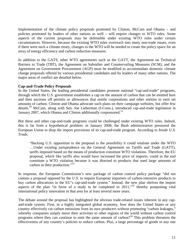Implementation of the climate policy proposals promoted by Clinton, McCain and Obama – and policies promoted by leaders of other nations as well – will require changes to WTO rules. Some aspects of the current proposals may be defensible under existing WTO rules under certain circumstances. However, because the existing WTO rules overreach into many non-trade issues, even if there were such a climate treaty, changes to the WTO will be needed to create the policy space for an array of energy efficiency and carbon reduction measures.

In addition to the GATS, other WTO agreements such as the GATT, the Agreement on Technical Barriers to Trade (TBT), the Agreement on Subsidies and Countervailing Measures (SCM), and the Agreement on Government Procurement (AGP) must be modified to accommodate domestic climate change proposals offered by various presidential candidates and by leaders of many other nations. The major areas of conflict are detailed below.

#### **Cap-and-Trade Policy Proposals**

In the United States, the leading presidential candidates promote national "cap-and-trade" programs, through which the U.S. government establishes a cap on the amount of carbon that can be emitted here and then auctions off permits or allowances that entitle corporations and other entities to emit set amounts of carbon. Clinton and Obama advocate such plans on their campaign websites, but offer few details.<sup>[50](#page-28-42)</sup> McCain, along with Sen. Joe Lieberman (I-Conn.), introduced cap-and-trade legislation in January 2007, which Obama and Clinton additionally cosponsored.<sup>[51](#page-28-43)</sup>

But these and other cap-and-trade programs could be challenged under existing WTO rules. Indeed, this is far from a hypothetical problem: in January 2008, the Bush administration pressured the European Union to drop the import provisions of its cap-and-trade program. According to *Inside U.S. Trade*,

"Backing U.S. opposition to the proposal is the possibility it could retaliate under the WTO …Under existing jurisprudence on the General Agreement on Tariffs and Trade (GATT), tariffs imposed based on the means of production constitute WTO violations. Therefore, the EU proposal, which like tariffs also would have increased the price of imports, could in the end constitute a WTO violation because it was directed to products that used large amounts of carbon in their production."<sup>[52](#page-28-32)</sup>

In response, the European Commission's new package of carbon control policy package "did not contain a proposal opposed by the U.S. to require European importers of carbon-intensive products to buy carbon allocations in the EU's cap-and-trade system." Instead, the new plan shelves the import aspects of the plan "in favor of a study to be completed in 2011,"<sup>[53](#page-28-44)</sup> thereby postponing vital international policy innovation in that area for at least several more years.

The debate around the proposal has highlighted the obvious trade-related issues inherent in any capand-trade system. First, in a highly integrated global economy, how does the United States or any country effectively cut carbon emissions from its own producers without promoting "carbon leakages," whereby companies simply move their activities to other regions of the world without carbon control programs where they can continue to emit the same amount of carbon?<sup>[54](#page-28-45)</sup> This problem threatens the effectiveness of any country's policies to reduce carbon. Plus, a large percentage of goods in any one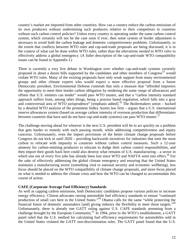country's market are imported from other countries. How can a country reduce the carbon emissions of its own producers without undermining such producers relative to their competitors in countries without such carbon control policies? Unless every country is operating under the same carbon control system, which certainly will not be the case soon if ever, then some system of border adjustment is necessary to avoid both the carbon leakage and domestic competitiveness problems. Unfortunately, to the extent that conflicts between WTO rules and cap-and-trade proposals are being discussed, it is in the context of what can be done *within* WTO rules, rather than the *alterations needed to WTO rules* to effectively address a global emergency. (A fuller description of the cap-and-trade WTO compatibility issues can be found in Appendix I.)

There is currently a very live debate in Washington over whether cap-and-trade systems currently proposed in about a dozen bills supported by the candidates and other members of Congress<sup>[55](#page-28-34)</sup> would violate WTO rules. Many of the existing proposals have only weak support from many environmental groups and other climate experts who would expect a more effective proposal from a future Democratic president. Environmental Defense contends that only a measure that "afforded importers the opportunity to meet their border carbon obligation by tendering *the same range* of allowances and offsets that U.S. emitters can tender" would pass WTO muster, and that a "carbon intensity standard approach suffers from, among other things, being a process based regulation, which falls into a gray and controversial area of WTO jurisprudence" [emphasis added].<sup>[56](#page-28-17)</sup> The Boilermakers union – backed by a detailed WTO analysis of the prominent Sidley Austin law firm – argues that a U.S. international reserve allowances system (based on average carbon intensity of overseas production that differentiates between countries that have and do not have cap-and-trade systems) can pass WTO muster.<sup>[57](#page-28-46)</sup>

The challenge moving ahead for whoever is the next U.S. president will be to act quickly on a problem that gets harder to remedy with each passing month, while addressing competitiveness and equity concerns. Unfortunately, even the import provisions of the better climate change proposals before Congress do not kick in until 2020 – providing backwards incentives for industries that emit the most carbon to relocate with impunity to countries without carbon control measures. Such a 12-year amnesty for carbon-emitting producers to relocate to dodge their carbon control responsibilities, and then import their goods back here could also destroy what remains of U.S. manufacturing – a sector in which one out of every five jobs has already been lost since WTO and NAFTA went into effect.<sup>[58](#page-28-35)</sup> For the sake of effectively addressing the global climate emergency and ensuring that the United States maintains a manufacturing sector (something vital to national security and economic wellbeing), less focus should be placed on the WTO compatibility of climate change proposals, and more focus placed on what is needed to address the climate crisis and how the WTO can be changed to accommodate this course of action.

#### **CAFE (Corporate Average Fuel Efficiency) Standards**

As well as capping carbon emissions, both Democratic candidates propose various policies to increase energy efficiency. Clinton advocates raising automobile fuel efficiency standards to ensure "continued production of small cars here in the United States."[59](#page-28-19) Obama calls for the same "while protecting the financial future of domestic automakers [and] giving industry the flexibility to meet those targets."[60](#page-28-47) Unfortunately, there is already one GATT ruling against U.S. CAFE standards stemming from a challenge brought by the European Community.<sup>[61](#page-28-20)</sup> In 1994, prior to the WTO's establishment, a GATT panel ruled that the U.S. method for calculating fuel efficiency requirements for automobiles sold in the United States violated the GATT non-discrimination rules. The GATT panel found that the U.S.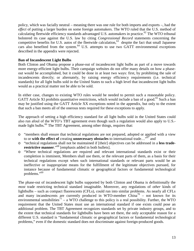policy, which was facially neutral – meaning there was one rule for both imports and exports –, had the *effect* of putting a larger burden on some foreign automakers. The WTO ruled that the U.S. method of calculating fleetwide efficiency standards advantaged U.S. automakers in practice.<sup>[62](#page-28-48)</sup> The WTO tribunal bolstered its case against the U.S. law by citing *Congressional Record* statements concerning the competitive benefits for U.S. autos of the fleetwide calculation,<sup>[63](#page-28-49)</sup> despite the fact that small Japanese cars also benefited from the system.<sup>[64](#page-28-39)</sup> U.S. attempts to use two GATT environmental exceptions described in the appendix were rejected.

#### **Ban of Incandescent Light Bulbs**

Both Clinton and Obama propose a phase-out of incandescent light bulbs as part of a move towards more energy-efficient light bulbs. Their campaign websites do not offer many details on how a phaseout would be accomplished, but it could be done in at least two ways: first, by prohibiting the sale of incandescents directly; or alternately, by raising energy efficiency requirements (i.e. technical standards) for all light bulbs sold in the United States to such a high level that incandescent light bulbs would as a practical matter not be able to be sold.

In either case, changes to existing WTO rules would be needed to permit such a reasonable policy. GATT Article XI prohibits quantitative restrictions, which would include a ban of a good.<sup>[65](#page-28-50)</sup> Such a ban may be justified using the GATT Article XX exceptions noted in the appendix, but only to the extent that such a ban meets all of the onerous tests required for these exceptions to apply.

The approach of setting a high efficiency standard for all light bulbs sold in the United States could also run afoul of the WTO's TBT agreement even though such a regulation would also apply to U.S.- made light bulbs.<sup>[66](#page-28-25)</sup> The TBT Agreement, among other things, requires that:

- o "members shall ensure that technical regulations are not prepared, adopted or applied with a view to or **with the effect of** creating **unnecessary obstacles** to international trade…"[67](#page-28-51) and
- o "technical regulations shall not be maintained if [their] objectives can be addressed in a **less traderestrictive manner**."[68](#page-28-26) [emphasis added in both bullets].
- o "Where technical regulations are required and relevant international standards exist or their completion is imminent, Members shall use them, or the relevant parts of them, as a basis for their technical regulations except when such international standards or relevant parts would be an ineffective or inappropriate means for the fulfillment of the legitimate objectives pursued, for instance because of fundamental climatic or geographical factors or fundamental technological problems."[69](#page-28-52)

The phase-out of incandescent light bulbs supported by both Clinton and Obama is definitionally the *most* trade restricting technical standard imaginable. Moreover, any regulations of *other* kinds of lightbulbs – such as compact fluorescents (CFLs), could run into similar problems. As nearly all CFLs and many incandescents are currently produced in WTO-member  $China<sup>70</sup>$  $China<sup>70</sup>$  $China<sup>70</sup>$  – not known for its environmental sensibilities<sup>[71](#page-28-41)</sup> – a WTO challenge to this policy is a real possibility. Further, the WTO requirement that the United States must use an international standard if one exists could pose an additional problem. The TBT Agreement recognizes standards set by private industry groups, and to the extent that technical standards for lightbulbs have been set there, the only acceptable reason for a different U.S. standard is "fundamental climatic or geographical factors or fundamental technological problems," even if the domestic standard does not discriminate against foreign-produced goods.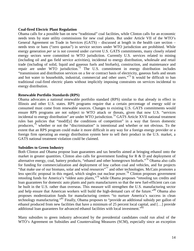#### **Coal-fired Electric Plant Regulation**

Obama calls for a possible ban on new "traditional" coal facilities, while Clinton calls for an economic needs tests by state utility commissions for new coal plants. But under Article VII of the WTO's General Agreement on Trade in Services (GATS) – discussed at length in the health care section – needs tests or bans ("zero quotas") in service sectors under WTO jurisdiction are prohibited. While energy generation *per se* is not covered under *current* U.S. GATS commitments, many closely related energy sectors were committed to WTO jurisdiction. Currently U.S. services related to mining (including oil and gas field service activities), incidental to energy distribution, wholesale and retail trade (including of solid, liquid and gaseous fuels and biofuels), construction, and maintenance and repair are under WTO jurisdiction.<sup>[72](#page-28-27)</sup> The U.S. commitment in energy distribution includes "transmission and distribution services on a fee or contract basis of electricity, gaseous fuels and steam and hot water to households, industrial, commercial and other users."<sup>[73](#page-28-28)</sup> It would be difficult to ban traditional coal-fired electric plants without implicitly imposing constraints on services incidental to energy distribution.

#### **Renewable Portfolio Standards (RPS)**

Obama advocates a national renewable portfolio standard (RPS) similar to that already in effect in Illinois and other U.S. states. RPS programs require that a certain percentage of energy sold or consumed must come from renewable sources. Changes to existing U.S. GATS commitments would ensure RPS programs are not subject to WTO attack or threats, given that now U.S. "services incidental to energy distribution" are under WTO jurisdiction.<sup>[74](#page-28-54)</sup> GATS Article XVII national treatment rules ban policies that "modif[y] the conditions of competition" in a way that favors domestic producers,<sup>[75](#page-28-55)</sup> whether or not the "discrimination" is intentional and whether or not obvious. To the extent that an RPS program could make it more difficult in any way for a foreign energy provider or a foreign firm operating an energy distribution system here to sell their product in the U.S. market, a GATS national treatment violation could be claimed.

#### **Subsidies to Green Industry**

Both Clinton and Obama propose loan guarantees and tax benefits aimed at bringing ethanol onto the market in greater quantities. Clinton also calls for government funding for  $R \& D$  and deployment of alternative energy, coal, battery products, "ethanol and other homegrown biofuels."[76](#page-28-56) Obama also calls for funding for commercialization and deployment of low carbon coal and vehicles, and for projects "that make use of our biomass, solar and wind resources"[77](#page-28-57) and other technologies. McCain promotes a less specific proposal in this regard, which singles out nuclear power.<sup>[78](#page-28-58)</sup> Clinton proposes government retooling funds for America's "oldest auto plants,"<sup>[79](#page-28-59)</sup> while Obama proposes "retooling tax credits and loan guarantees for domestic auto plants and parts manufacturers so that the new fuel-efficient cars can be built in the U.S. rather than overseas. This measure will strengthen the U.S. manufacturing sector and help ensure that American workers will build the high-demand cars of the future."<sup>[80](#page-28-60)</sup> Obama also proposes modernization funds for manufacturing centers "to nurture America's success in clean technology manufacturing."[81](#page-28-61) Finally, Obama proposes to "provide an additional subsidy per gallon of ethanol produced from new facilities that have a minimum of 25 percent local capital, and […] provide additional loan guarantees for advanced ethanol facilities with local investment."<sup>[82](#page-28-62)</sup>

Many subsidies to green industry advocated by the presidential candidates could run afoul of the WTO's Agreement on Subsidies and Countervailing Measures (SCM), especially since an exception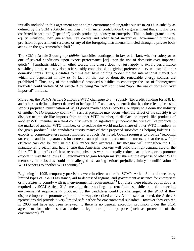initially included in this agreement for one-time environmental upgrades sunset in 2000. A subsidy as defined by the SCM's Article 1 includes *any* financial contribution by a government that amounts to a conferred benefit to a ("specific") goods-producing industry or enterprise. This includes grants, loans, equity infusions, loan guarantees, tax credits and other fiscal incentives, government purchases, provision of government services, or any of the foregoing instruments funneled through a private body acting on the government's behalf. $83$ 

The SCM's Article 3 outright *prohibits* "subsidies contingent, in law or **in fact**, whether solely or as one of several conditions, upon export performance [or] upon the use of domestic over imported goods" [84](#page-28-64) [emphasis added]. In other words, this clause does not just apply to export performance subsidies, but also to any domestic subsidy conditioned on giving preference – even unstated – for domestic inputs. Thus, subsidies to firms that have nothing to do with the international market but which are dependent in law *or in* fact on the use of domestic renewable energy sources are prohibited.<sup>[85](#page-28-34)</sup> Thus, any of the candidates' proposed subsidies to encourage the use of "homegrown biofuels" could violate SCM Article 3 by being "in fact" contingent "upon the use of domestic over imported" biofuels.

Moreover, the SCM's Article 5 allows a WTO challenge to *any* subsidy (tax credit, funding for R & D, and other, as defined above) deemed to be "specific" and carry a benefit that has the effect of causing serious prejudice, nullification of WTO goods market access benefits, or injury to a domestic industry of another WTO signatory country.[86](#page-28-18) Serious prejudice may occur when the effect of the subsidy is to displace or impede like imports from another WTO member, to displace or impede like products of another WTO member in a third country market, to significantly undercut the price of like products in the market of another WTO member, or to reduce the world market share of other WTO members in the given product.<sup>[87](#page-28-65)</sup> The candidates justify many of their proposed subsidies as helping bolster U.S. exports or competitiveness against imported products. As noted, Obama promises to provide "retooling tax credits and loan guarantees for domestic auto plants and parts manufacturers, so that the new fuelefficient cars can be built in the U.S. rather than overseas. This measure will strengthen the U.S. manufacturing sector and help ensure that American workers will build the high-demand cars of the future."<sup>[88](#page-28-35)</sup> If the effect of these retooling subsidies were to actually reduce car imports, or to promote exports in way that allows U.S. automakers to gain foreign market share at the expense of other WTO members, the subsidies could be challenged as causing serious prejudice, injury or nullification of WTO benefits to another WTO country.<sup>[89](#page-28-66)</sup>

Beginning in 1995, temporary provisions were in effect under the SCM's Article 8 that allowed very limited types of R & D assistance, aid to depressed regions, and government assistance for enterprises or industries to comply with new environmental requirements.<sup>[90](#page-28-47)</sup> But these were phased out in 2000 as requiredby SCM Article  $31<sup>91</sup>$  meaning that retooling and retrofitting subsidies aimed at meeting environmental requirements proposed by the candidates could be challenged at the WTO if they displace imports or promote exports in the ways described above. As one scholar noted, the Article 8 "provisions did provide a very limited safe harbor for environmental subsidies. However they expired in 2000 and have not been renewed … there is no general exception provision under the SCM agreement for subsidies that further a legitimate public purpose (such as protection of the environment)."[92](#page-28-67)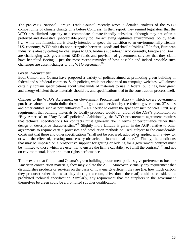The pro-WTO National Foreign Trade Council recently wrote a detailed analysis of the WTO compatibility of climate change bills before Congress. In their report, they remind legislators that the WTO has "limited capacity to accommodate climate-friendly subsidies, although they are often a preferred and domestically-acceptable policy tool for achieving legitimate environmental policy goals [...] while this financial aid is clearly intended to speed the transition to an environmentally-friendly U.S. economy, WTO rules do not distinguish between 'good' and 'bad' subsidies."<sup>[93](#page-28-38)</sup> In fact, European industry is already calling for challenges to U.S. biofuels subsidies.<sup>[94](#page-28-68)</sup> And currently, Europe and Brazil are challenging U.S. government R&D funds and provision of government services that they claim have benefited Boeing – just the most recent reminder of how possible and indeed probable such challenges are absent changes to this WTO agreement.<sup>[95](#page-28-49)</sup>

#### **Green Procurement**

Both Clinton and Obama have proposed a variety of policies aimed at promoting green building in federal and subfederal contracts. Such policies, while not elaborated on campaign websites, will almost certainly contain specifications about what kinds of materials to use in federal buildings, how green and energy-efficient these materials should be, and specifications tied to the construction process itself.

Changes to the WTO's Agreement on Government Procurement (AGP) – which covers government purchases above a certain dollar threshold of goods and services by the federal government, 37 states and other entities such as port authorities  $96$  [–](#page-28-39) are needed to ensure the space for such policies. First, any requirement that building materials be locally produced would run afoul of the AGP's prohibition on "Buy America" or "Buy Local" policies.<sup>[97](#page-28-22)</sup> Additionally, the WTO procurement agreement requires that technical specifications for contracts must generally "be in terms of performance rather than design or descriptive characteristics."[98](#page-28-69) Slightly more latitude is given in the AGP relative to other agreements to require certain processes and production methods be used, subject to the considerable constraint that these and other specifications "shall not be prepared, adopted or applied with a view to, or with the effect of, creating unnecessary obstacles to international trade."[99](#page-28-24) Finally, the conditions that may be imposed on a prospective supplier for getting or bidding for a government contract must be "limited to those which are essential to ensure the firm's capability to fulfill the contract"<sup>[100](#page-28-70)</sup> and not on environmental, labor or human rights performance.

To the extent that Clinton and Obama's green building procurement policies give preference to local or American construction materials, they may violate the AGP. Moreover, virtually any requirement that distinguishes products or services on the basis of how energy-efficient they are (i.e. how much carbon they produce) rather than what they do (light a room, drive down the road) could be considered a prohibited technical specification. Similarly, any requirement that the suppliers to the government themselves be green could be a prohibited supplier qualification.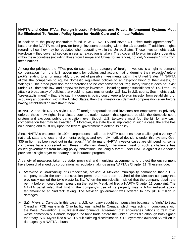#### **NAFTA and Other FTAs' Foreign Investor Privileges and Private Enforcement Systems Must Be Eliminated To Restore Policy Space for Health Care and Climate Policies**

In addition to the policy constraints found in WTO, NAFTA and seven U.S. "free trade agreements"<sup>[101](#page-28-71)</sup> based on the NAFTA model provide foreign investors operating within the 13 countries<sup>[102](#page-28-72)</sup> additional rights regarding how they may be regulated when operating within the United States. These investor rights apply top-down – they cover all sectors unless an exception is taken. They cover all foreign investors operating within these countries (including those from Europe and China, for instance), not only "domestic" firms from these nations.

Among the privileges the FTAs provide such a large category of foreign investors is a right to demand compensation from the U.S. government for policies and actions that undermine their *expected future* profits relating to an unimaginably broad set of possible investments within the United States.<sup>[103](#page-28-73)</sup> NAFTA allows the companies to equate domestic regulatory policies to an "expropriation" of their assets, or "takings." This broad provision for corporations to be compensated for "regulatory takings" does not exist under U.S. domestic law, and empowers foreign investors – including foreign subsidiaries of U.S. firms – to attack a broad array of policies that would not pass muster under U.S. law in U.S. courts. Such rights apply "pre-establishment" – that is to say if a domestic policy could keep a foreign investor from establishing or acquiring an operation within the United States, then the investor can demand compensation even before having established an investment here.

In NAFTA and six NAFTA-style FTAs, $104$  foreign corporations and investors are empowered to privately enforce these new rights in a closed-door arbitration system that operates outside the domestic court system and excludes public participation, even though U.S. taxpayers must foot the bill for any cash compensation that may be awarded.[105](#page-28-75) Moreover, if a state law is implicated in such a case, the state has no standing and must rely upon the federal government to defend its policy.

Since NAFTA's enactment in 1994, corporations in all three NAFTA countries have challenged a variety of national, state and local environmental policies and even civil judicial decisions under this system. Over \$35 million has been paid out in damages.<sup>[106](#page-28-76)</sup> While many NAFTA investor cases are still pending, some companies have succeeded with these challenges already. The mere threat of such a challenge has chilled governments from making policy innovations, including a threat under NAFTA against a Canadian province's single payer mandatory auto insurance program.

A variety of measures taken by state, provincial and municipal governments to protect the environment have been challenged by corporations as regulatory takings using NAFTA's Chapter 11. These include:

- *Metalclad v. Municipality of Guadalcázar, Mexico*: A Mexican municipality demanded that a U.S. company obtain the same construction permit that had been required of the Mexican company that previously owned the toxic waste facility. When the municipality insisted that the company obtain the permit before it could begin expanding the facility, Metalclad filed a NAFTA Chapter 11 complaint. The NAFTA panel ruled that limiting the company's use of its property was a NAFTA-illegal action tantamount to an "indirect" taking. The Mexican government was ordered to pay \$15.6 million in damages.
- *S.D. Myers v. Canada:* In this case, a U.S. company sought compensation because its "right" to treat Canadian PCB waste in its Ohio facility was halted by Canada, which was acting in compliance with the Basel Convention, a multilateral environmental agreement that encourages nations to treat toxic waste domestically. Canada stopped the toxic trade before the United States did although both signed the treaty. S.D. Myers filed a NAFTA suit claiming discrimination. S.D. Myers was awarded \$5 million in damages by a NAFTA tribunal.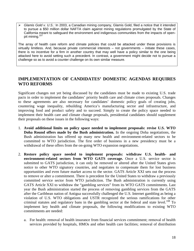*Glamis Gold v. U.S.:* In 2003, a Canadian mining company, Glamis Gold, filed a notice that it intended to pursue a \$50 million dollar NAFTA claim against mining regulations promulgated by the State of California meant to safeguard the environment and indigenous communities from the impacts of open-pit mining.<sup>[107](#page-28-77)</sup>

The array of health care reform and climate policies that could be attacked under these provisions is virtually limitless. And, because private commercial interests – not governments – initiate these cases, there is no incentive for a firm in another country that may well have a policy similar to the one being attacked here to avoid setting such a precedent. In contrast, a government might decide not to pursue a challenge so as to avoid a counter challenge on its own similar measure.

# **IMPLEMENTATION OF CANDIDATES' DOMESTIC AGENDAS REQUIRES WTO REFORMS**

Significant changes not yet being discussed by the candidates must be made to existing U.S. trade pacts in order to implement the candidates' priority health care and climate crises proposals. Changes to these agreements are also necessary for candidates' domestic policy goals of creating jobs, countering wage inequality, rebuilding America's manufacturing sector and infrastructure, and improving food and product safety and to succeed. Simply to create the policy space needed to implement their health care and climate change proposals, presidential candidates should supplement their proposals on these issues in the following ways:

- 1. **Avoid additional limits on policy space needed to implement proposals: revise U.S. WTO Doha Round offers made by the Bush administration.** In the ongoing Doha negotiations, the Bush administration has offered up many new health and environment-related sectors to be committed to WTO jurisdiction. The first order of business in a new presidency must be a withdrawal of these offers from the on-going WTO expansion negotiations.
- 2. **Restore policy space needed to implement proposals: withdraw U.S. health- and environment-related sectors from WTO GATS coverage.** Once a U.S. service sector is submitted to GATS jurisdiction, it can only be removed or altered after the United States gives notice to other WTO signatory countries, and negotiates to compensate them for lost business opportunities and even future market access to the sector. GATS Article XXI sets out the process to remove or alter a commitment. There is precedent for the United States to withdraw a previously committed service sector from WTO jurisdiction. The Bush administration is currently using GATS Article XXI to withdraw the "gambling services" from its WTO GATS commitments. Last year the Bush administration started the process of removing gambling services from the GATS after the Caribbean nation of Antigua successfully challenged the U.S. Internet gambling as being a violation of U.S. WTO obligations and USTR recognized the serious ramifications for other criminal statutes and regulatory bans in the gambling sector at the federal and state level.<sup>[108](#page-28-78)</sup> To implement key health and climate proposals, the following modifications to existing WTO commitments are needed:
	- a. For health: removal of health insurance from financial services commitment; removal of health services provided by hospitals, HMOs and other health care facilities; removal of distribution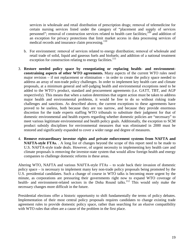services in wholesale and retail distribution of prescription drugs; removal of telemedicine for certain nursing services listed under the category of "placement and supply of services personnel"; removal of construction services related to health care facilities;<sup>[109](#page-28-79)</sup> and addition of an exception for privacy protections that limit market access in data processing services of medical records and insurance claim processing.<sup>[110](#page-28-80)</sup>

- b. For environment: removal of services related to energy distribution; removal of wholesale and retail trade of solid, liquid and gaseous fuels and biofuels; and addition of a national treatment exception for construction relating to energy facilities.<sup>[111](#page-28-81)</sup>
- 3. **Restore needed policy space by renegotiating or replacing health- and environmentconstraining aspects of other WTO agreements.** Many aspects of the current WTO rules need major revision – if not replacement or elimination – in order to create the policy space needed to address an array of non-trade policy challenges. In order to implement key health care and climate proposals, at a minimum general and self-judging health and environmental exceptions need to be added to the WTO's product, standard and procurement agreements (i.e. GATT, TBT, and AGP respectively). This means that when a nation determines that urgent action must be taken to address major health and environmental problems, it would be free to do so without risking trade challenges and sanctions. As described above, the current exceptions to these agreements have proved to be useless, both because they are too narrow, and because they provide enormous discretion for the trade experts staffing WTO tribunals to substitute their judgment for that of domestic environmental and health experts regarding whether domestic policies are "necessary" to meet various legitimate environmental and health policy goals. Additionally, the exception to SCM product subsidy disciplines for environmental measures that was eliminated in 2000 must be restored and significantly expanded to cover a wider range and degree of measures.
- 4. **Remove extraordinary investor rights and private enforcement systems from NAFTA and NAFTA-style FTAs.** . A long list of changes beyond the scope of this report need to be made to U.S. NAFTA-style trade deals. However, of urgent necessity to implementing key health care and climate proposals is removing the investor-state system that would allow foreign health and energy companies to challenge domestic reforms in these areas.

Altering WTO, NAFTA and various NAFTA-style FTAs – to scale back their invasion of domestic policy space – is necessary to implement many key non-trade policy proposals being promoted by the U.S. presidential candidates. Such a change of course in WTO talks is becoming more urgent by the minute, as corporations are pressuring their governments right now to expand WTO coverage of health- and environment-related sectors in the Doha Round talks.<sup>[112](#page-28-82)</sup> This would only make the necessary changes more difficult in the future.

Presidential elections offer a historic opportunity to shift fundamentally the terms of policy debates. Implementation of their most central policy proposals requires candidates to change existing trade agreement rules to provide domestic policy space, rather than searching for an elusive compatibility with WTO rules that often are a cause of the problem in the first place.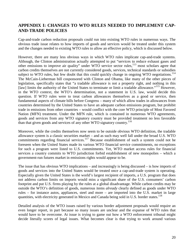# **APPENDIX I: CHANGES TO WTO RULES NEEDED TO IMPLEMENT CAP-AND-TRADE POLICIES**

Cap-and-trade carbon reduction proposals could run into existing WTO rules in numerous ways. The obvious trade issue relates to how imports of goods and services would be treated under this system and the changes needed to existing WTO rules to allow an effective policy, which is discussed below.

However, there are many less obvious ways in which WTO rules implicate cap-and-trade systems. Although, the Clinton administration actually attempted to put "services to reduce exhaust gases and other emissions to improve air quality" under WTO service sector rules, $113$  most scholars agree that carbon credits themselves are not currently considered goods, services, technical standards or subsidies subject to WTO rules, but few doubt that this could quickly change in ongoing WTO negotiations.<sup>[114](#page-28-84)</sup> The McCain-Lieberman bill cosponsored with Clinton and Obama, like many of the other pieces of legislation, specifically states that "a tradable allowance is not a property right, and nothing in this [law] limits the authority of the United States to terminate or limit a tradable allowance."<sup>[115](#page-28-85)</sup> However, in the WTO context, the WTO's determination, not a statement in U.S. law, would decide this question. If WTO rules were to treat carbon allowances themselves as a good or service, then fundamental aspects of climate bills before Congress – many of which allow trades in allowances from countries determined by the United States to have an adequate carbon emissions program, but prohibit trade in emissions from other countries – would conflict with the core WTO principle of Most Favored Nation (MFN) treatment. Under the MFN rule, which is contained in numerous WTO agreements, goods and services from any WTO signatory country must be provided treatment no less favorable than that given goods and services of any other WTO signatory country.<sup>[116](#page-28-86)</sup>

Moreover, while the credits themselves now seem to be outside obvious WTO definition, the tradable allowance system is a classic securities market – and as such may well fall under the broad U.S. WTO commitments regarding financial services.<sup>[117](#page-28-87)</sup> Because establishment of such a system could not be foreseen when the United States made its various WTO financial service commitments, no exceptions for such a program were listed to U.S. commitments. Yet, WTO market access rules for financial services a country commits to WTO jurisdiction forbid establishment of new monopolies – which a government-run futures market in emissions rights would appear to be.

The issue that has obvious WTO implications – and increasingly is being discussed – is how imports of goods and services into the United States would be treated once a cap-and-trade system is operating. Especially given the United States is the world's largest recipient of imports, a U.S. program that does not address carbon limits on imports would miss a significant share of the U.S. consumers' carbon footprint and put U.S. firms playing by the rules at a global disadvantage. While carbon credits may be outside the WTO's definition of goods, numerous items *already* clearly defined as goods under WTO rules – for instance autos, appliances, steel and more – are imported into the U.S. market in large quantities, with electricity generated in Mexico and Canada being sold in U.S. border states.<sup>[118](#page-28-88)</sup>

Detailed analysis of the WTO issues raised by various border adjustment proposals would require an even longer report, in part because so many issues are unclear and the expanse of WTO rules that would have to be overcome. At issue is trying to game out how a WTO enforcement tribunal might decide literally scores of legal issues. What becomes clear is that trying to work around various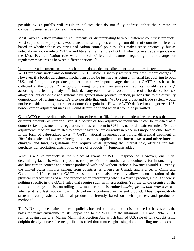possible WTO pitfalls will result in policies that do not fully address either the climate or competitiveness issues. Some of the issues:

Most Favored Nation treatment requirements vs. differentiating between different countries' products: Most cap-and-trade proposals would treat the same goods coming from different countries differently based on whether those countries had carbon control policies. This makes sense practically, but as noted above, a core rule of WTO – and literally the first rule of GATT which covers trade in goods – is the Most Favored Nation rule which forbids differential treatment regarding border charges or regulatory measures as between different nations.<sup>[119](#page-28-70)</sup>

Is a border adjustment an import charge, a domestic tax adjustment or a domestic regulation, with WTO problems under any definition: GATT Article II sharply restricts any new import charges.<sup>[120](#page-28-89)</sup> However, if a border adjustment mechanism could be justified as being an internal tax applying to both U.S.- and foreign-made products, rather than a new import charge, then under GATT rules it can be collected at the border. "The cost of having to present an emission credit can qualify as a tax," according to a leading analyst.<sup>[121](#page-28-74)</sup> Indeed, many economists advocate the use of a border carbon tax altogether, but cap-and-trade systems have gained more political traction, perhaps due to the difficulty domestically of raising taxes. It's also possible that under WTO rules a cap-and-trade system would not be considered a tax, but rather a domestic regulation. How the WTO decided to categorize a U.S. border carbon adjustment measure would determine if and when it would be permitted.

Can a WTO country distinguish at the border between "like" products made using processes that emit different amounts of carbon? Even if a border carbon adjustment requirement can be justified as a domestic tax adjustment or a regulation, it must conform to GATT's national treatment rules. "Border adjustment" mechanisms related to domestic taxation are currently in place in Europe and other locales in the form of value-added taxes.<sup>[122](#page-28-83)</sup> GATT national treatment rules forbid differential treatment of "*like*" domestic products over foreign products in the application of "internal **taxes and other internal charges**, and **laws, regulations and requirements** affecting the internal sale, offering for sale, purchase, transportation, distribution or use of products<sup>"[123](#page-28-90)</sup> [emphasis added].

What is a "like product" is the subject of reams of WTO jurisprudence. However, one initial determining factor is whether products compete with one another, as undoubtedly for instance highand low-carbon cement and cement produced with and without carbon allowances would. Currently, the United States imports cement from countries as diverse as Canada and France, to China and Colombia.<sup>[124](#page-28-87)</sup> Under current GATT rules, trade tribunals have only allowed consideration of the physical characteristics of an end product when interpreting what is a "like" product, although there is nothing specific in the GATT rules that require such an interpretation. Yet, the whole premise of the cap-and-trade system is controlling how much carbon is emitted *during production processes* and whether it is offset, not on how much carbon is contained in the end product. Thus, cap-and-trade systems treat physically identical products differently based on their "process and production methods."

The WTO prejudice against domestic policies focused on how a product is produced or harvested is the basis for many environmentalists' opposition to the WTO. In the infamous 1991 and 1994 GATT rulings against the U.S. Marine Mammal Protection Act, which banned U.S. sale of tuna caught using dolphin-deadly purse seine nets, tribunals ruled that tuna caught using dolphin-killing methods could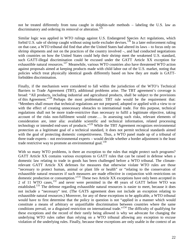not be treated differently from tuna caught in dolphin-safe methods – labeling the U.S. law as discriminatory and ordering its removal or alteration.<sup>[125](#page-28-91)</sup>

Similar logic was applied in WTO rulings against U.S. Endangered Species Act regulations, which forbid U.S. sale of shrimp caught without using turtle excluder devises.<sup>[126](#page-28-92)</sup> In a later enforcement ruling on that case, a WTO tribunal did find that after the United States had altered its laws – to focus only on shrimp shipments and not on the practices of the country involved –, and had conducted negotiations with countries on how the United States could help their shrimp meet the weakened U.S. standard, such GATT-illegal discrimination could be excused under the GATT Article XX exception for exhaustible natural resources.<sup>[127](#page-28-93)</sup> Meanwhile, various WTO countries also have threatened WTO action against proposals aimed at keeping products made with child labor out of the U.S. market, noting that policies which treat physically identical goods differently based on how they are made is GATTforbidden discrimination.

Finally, if the mechanism were considered to fall within the jurisdiction of the WTO's Technical Barriers to Trade Agreement (TBT), additional problems arise. The TBT agreement's coverage is broad: "All products, including industrial and agricultural products, shall be subject to the provisions of this Agreement."[128](#page-28-94) Perhaps the most problematic TBT rule would be the requirement that: "Members shall ensure that technical regulations are not prepared, adopted or applied with a view to or with the effect of creating unnecessary obstacles to international trade. For this purpose, technical regulations shall not be more trade-restrictive than necessary to fulfil a legitimate objective, taking account of the risks non-fulfilment would create…. In assessing such risks, relevant elements of consideration are, inter alia: available scientific and technical information, related processing technology or intended end-uses of products."<sup>[129](#page-28-95)</sup> While the TBT Agreement recognizes environmental protection as a legitimate goal of a technical standard, it does not permit technical standards aimed with the goal of protecting domestic competitiveness. Thus, a WTO panel made up of a tribunal of three trade experts – not environmental experts – would decide whether a border adjustment is the least trade restrictive way to promote an environmental goal. $130$ 

With so many WTO problems, is there an exception to the rules that might protect such programs? GATT Article XX contains various exceptions to GATT rules that can be raised in defense when a domestic law relating to trade in goods has been challenged before a WTO tribunal. The climaterelevant GATT Article XX defenses for measures that otherwise violate WTO rules are those "necessary to protect human, animal or plant life or health" or "relating to the conservation of exhaustible natural resources if such measures are made effective in conjunction with restrictions on domestic production or consumption."[131](#page-28-96) These two Article XX exceptions have only been accepted in 2 of 11 WTO cases,<sup>[132](#page-28-73)</sup> and never were permitted in the 48 years of GATT before WTO was established.[133](#page-28-97) The defense regarding exhaustible natural resources is easier to meet, because it does not include a "necessary" test. (The GATS agreement does not include an exception relating to exhaustible natural resources.) Moreover, for any of these exceptions to be applicable, a WTO tribunal would have to first determine that the policy in question is not "applied in a manner which would constitute a means of arbitrary or unjustifiable discrimination between countries where the same conditions prevail, or a disguised restriction on international trade."[134](#page-28-98) The difficulty of qualifying for these exceptions and the record of their rarely being allowed is why we advocate for changing the underlying WTO rules rather than relying on a WTO tribunal allowing any exception to excuse violation of the underlying rules. Finally, because these exceptions are only usable in the context of an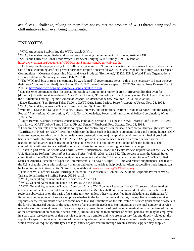actual WTO challenge, relying on them does not counter the problem of WTO threats being used to chill initiatives from even being implemented.

#### **ENDNOTES**

http://www.citizen.org/documents/WTODisputesSummaryOnePagerwtables.pdf.

 $4$  The European Union pays nearly \$130 million per year since 1999 in trade sanctions after refusing to alter its ban on the sale of meat containing artificial growth hormones despite a successful U.S. WTO challenge of this policy. *See* "European Communities – Measures Concerning Meat and Meat Products (Hormones)," DS26, DS48, World Trade Organization's Dispute Settlement Summary, accessed Feb. 25, 2008.

<sup>5</sup> "The WTO tool-box of rules can certainly be ... 'adapted' if governments perceive this to be necessary to better achieve their goals" [quotes in original]. *See* "Lamy: Bali UN Climate Conference speech, WTO Secretariat Press Release, Dec. 9, 2007, at http://www.wto.org/english/news\_e/sppl\_e/sppl83\_e.htm.

<sup>6</sup> One observer commented that "In effect, this result can amount to a higher degree of irreversibility that even for [domestic] constitutional amendments." *See* Robert Howse, "From Politics to Technocracy – and Back Again: The Fate of the Multilateral Trading Regime," *American Journal of International Law,* Volume 96: 94, 2002, at 107.

<sup>7</sup> Dave Skidmore, "Sen. Brown Takes Nader's GATT Quiz, Earns Perfect Score," *Associated Press,* Nov. 28, 1994. <sup>8</sup> WTO, General Agreement on Trade in Services (GATS), Annex 1B.

<sup>9</sup> William J. Drake and Kalypso Nicolaidis, "Ideas, Interests, and Institutionalization: 'Trade in Services' and the Uruguay Round," *International Organization*, Vol. 46, No. 1, Knowledge, Power, and International Policy Coordination, Winter 1992, at 52.

 $10$  Joyce Barrett, "Clinton, business leaders ready lame-duck session GATT push," News Record (Calif.), Nov. 16, 1994; Joan Lowy, "GATT Lobby Turns Effort to Pivotal Senate," Pittsburgh Post Gazette, Nov. 28, 1994.

 $11$  Economic needs tests are an important policy tool for controlling costs in the health care arena. Thirty-eight states have "Certificate of Need" or "CON" laws for health care facilities such as hospitals, outpatient clinics and nursing homes. CON laws are intended to bring oversight to health care construction and major capital expenditures which fuel skyrocketing health care costs. Unfortunately, GATS Article XVI prohibits economic needs tests in a covered service sector. U.S. negotiators safeguarded needs testing under hospital services, but not under construction of health buildings. This contradiction will need to be clarified to safeguard these important cost-saving laws from challenge.

 $12$  Taken in part from Pat Arnold and Terrie Reeves, "International Trade and Health Policy: Implications of the GATS for U.S. Healthcare Reform," *Journal of Business Ethics*, Vol. 63, 2006, at 313-332. The service sectors the United States committed to the WTO GATS are contained in a document called the "U.S. schedule of commitments"; WTO, United States of America, Schedule of Specific Commitments, GATS/SC/90 April 15, 1994 and related supplements. The text of the U.S. schedule, along with a glossary of terms and other materials to help decipher often inaccessible trade jargon, can be found in Public Citizen's GATS directory, available at: www.citizen.org/GATSdirectory

<sup>13</sup> Quote of WTO official David Hartridge. Quoted in Erik Wesselius, "Behind GATS 2000: Corporate Power at Work," Transnational Institute Briefing Paper, 2002/6, at 15.

<sup>14</sup> WTO, General Agreement on Trade in Services, Article I:1.

<sup>15</sup> WTO, General Agreement on Trade in Services, Article I:3(a).

<sup>16</sup> WTO, General Agreement on Trade in Services, Article XVI:2 on "market access" reads: "In sectors where marketaccess commitments are undertaken, the measures which a Member shall not maintain or adopt either on the basis of a regional subdivision or on the basis of its entire territory, unless otherwise specified in its Schedule, are defined as: (a) limitations on the number of service suppliers whether in the form of numerical quotas, monopolies, exclusive service suppliers or the requirements of an economic needs test; (b) limitations on the total value of service transactions or assets in the form of numerical quotas or the requirement of an economic needs test; (c) limitations on the total number of service operations or on the total quantity of service output expressed in terms of designated numerical units in the form of quotas or the requirement of an economic needs test; (d) limitations on the total number of natural persons that may be employed in a particular service sector or that a service supplier may employ and who are necessary for, and directly related to, the supply of a specific service in the form of numerical quotas or the requirement of an economic needs test; (e) measures which restrict or require specific types of legal entity or joint venture through which a service supplier may supply a

<sup>&</sup>lt;sup>1</sup> WTO, Agreement Establishing the WTO, Article XIV:4.

<sup>&</sup>lt;sup>2</sup> WTO. Understanding on Rules and Procedures Governing the Settlement of Disputes, Article XXII.

<sup>3</sup> *See* Public Citizen's Global Trade Watch, Fact Sheet Tallying WTO Rulings 1995-Present, at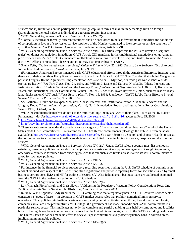service; and (f) limitations on the participation of foreign capital in terms of maximum percentage limit on foreign shareholding or the total value of individual or aggregate foreign investment."

<sup>17</sup> WTO, General Agreement on Trade in Services, Article XVI:2(e).

<sup>18</sup> "Formally identical or formally different treatment shall be considered to be less favourable if it modifies the conditions of competition in favour of services or service suppliers of the Member compared to like services or service suppliers of any other Member," WTO, General Agreement on Trade in Services, Article XVII.

 $19$  WTO, General Agreement on Trade in Services, Article VI:4. This article empowers the WTO to develop disciplines (rules) on domestic regulation. In addition, GATS Article XIII mandates further multinational negotiations on government procurement and GATS Article XV mandates multilateral negotiations to develop disciplines (rules) to avoid the "tradedistortive" effects of subsidies. These negotiations may also impact health services.

<sup>20</sup> Sheila Tefft, "Trade strength seen in services," *Chicago Tribune,* Nov. 26, 1980. *See* also Jane Seaberry, "Brock to push for pacts on trade in services," *Washington Post,* June 9, 1981.

<sup>21</sup> (For instance, American Express financed early GATS educational efforts through the American Enterprise Institute, and then one of their executives Harry Freeman went on to staff the Alliance for GATT Now Coalition that lobbied Congress to pass the Uruguay Round Agreements Implementation Act.) *See* Allen R. Myerson, "In trade pact war, clashes outside capital are heavy," *New York Times,* Nov. 24, 1994, and William J. Drake and Kalypso Nicolaidis, "Ideas, Interests, and Institutionalization: 'Trade in Services' and the Uruguay Round," *International Organization*, Vol. 46, No. 1, Knowledge, Power, and International Policy Coordination, Winter 1992, at 75. *See also,* Joyce Barrett, "Clinton, business leaders ready lame-duck session GATT push," *News Record* (Calif.), Nov. 16, 1994; Joan Lowy, "GATT Lobby Turns Effort to Pivotal Senate," *Pittsburgh Post Gazette,* Nov. 28, 1994.

<sup>22</sup> *See* William J. Drake and Kalypso Nicolaidis, "Ideas, Interests, and Institutionalization: 'Trade in Services' and the Uruguay Round," *International Organization*, Vol. 46, No. 1, Knowledge, Power, and International Policy Coordination, Winter 1992, at 40-41, and 60.

 $^{23}$  While the candidates themselves do not use the term "pooling," many analyses of their plans – such as that by Kaiser Permanente – do. *See* http://www.health08.org/sidebyside\_results.cfm?c=11&c=16, accessed Feb. 25, 2008. <sup>24</sup> http://www.barackobama.com/issues/pdf/HealthCareFullPlan.pdf.

<sup>25</sup> http://www.hillaryclinton.com/feature/healthcareplan/americanhealthchoicesplan.pdf.

<sup>26</sup> These are subcategories under the broader service category of "financial services, direct insurance" to which the United States made GATS commitments. To examine the U.S. health care commitments, please go the Public Citizen database available at http://www.citizen.org/trade/forms/gats\_search.cfm. You can "Search by Sector" and choose "Health" to see all the committed sectors that impact health care delivery in the United States including insurance, hospitals and distribution services.

 $27$  WTO, General Agreement on Trade in Services, Article XVI:2(a). Under GATS rules, a country must list previously existing government policies that establish monopolies or exclusive service supplier arrangements it sought to preserve, otherwise a country is forbidden from enacting policies that establish such limits unless it alters its WTO commitments to allow for such new policies.

<sup>28</sup> WTO, General Agreement on Trade in Services, Article VIII:5.

<sup>29</sup> WTO, General Agreement on Trade in Services, Article XVII:3.

 $30$  For instance, in the financial services subcategory regarding securities trading the U.S. GATS schedule of commitments reads "Unbound with respect to the use of simplified registration and periodic reporting forms for securities issued by small business corporations. [MA and NT for trading of securities]." Also federal small business loans are explicated exempted from the GATS in the horizontal section of the U.S. schedule.

 $31$  WTO, General Agreement on Trade in Services, Article XVI:2(b).

<sup>32</sup> Lori Wallach, Fiona Wright and Chris Slevin, "Addressing the Regulatory Vacuum: Policy Considerations Regarding Public and Private Sector Service Job Off-shoring," Public Citizen, June 2004.

 $33$  In 2005, WTO Appellate Body ruled in the U.S.-Gambling case that a regulatory ban in a GATS-covered service sector constitutes a "quota of zero" – in violation of GATS market access rules that prohibit numerical limits on service operations. Thus, policies criminalizing certain acts or banning certain activities, even if they treat domestic and foreign companies alike, are now presumptively WTO-illegal if a government has made unconditional GATS commitments in a particular service sector. This implicates not only the complete and partial gambling bans held by some states and localities, but also the regulatory bans in other service sectors that the United States has signed up to the GATS including health care. The United States so far has made no effort to review its past commitments to protect regulatory bans in covered areas, implicating innumerable policies.

 $34$  WTO, General Agreement on Trade in Services, Article XIV(c)(2).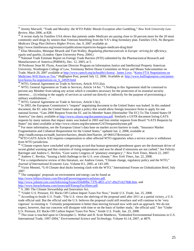<sup>35</sup> Jeremy Marwell, "Trade and Morality: the WTO Public Morals Exception after Gambling," *New York University Law Review*, May 2006, at 828.

 $36$  A recent study by Families USA shows that patients under Medicare are paying close to 50 percent more for the 20 most commonly used drugs by seniors than Veterans benefiting from the VA's drug formulary plan. Families USA, *No Bargain: Medicare Drug Plan Delivers Higher Prices*, Jan. 9, 2007 available at:

http://www.familiesusa.org/resources/publications/reports/no-bargain-medicare-drug.html

<sup>37</sup> Elias Mossialos, Monique Mrazek and Tom Walley, *Regulating pharmaceuticals in Europe: striving for efficiency, equity and quality*, (London: Open University Press, 2004.)

<sup>38</sup> National Trade Estimate Report on Foreign Trade Barriers (NTE) submitted by the Pharmaceutical Research and Manufacturers of America (PhRMA), Dec. 12, 2003, at 5.

39 Professor Sean M. Flynn, Associate Director Program on Information Justice and Intellectual Property American University, Washington College of Law, Testimony Before House Committee on Ways and Means Subcommittee on Trade, March 20, 2007 available at http://www.cptech.org/ip/health/c/korea/. James Love, "Korea FTA Negotiations on Medicines Will Harm us Too," *Huffington* Post, posted July 12, 2006. Available at: http://www.huffingtonpost.com/jameslove/korea-fta-negotiations-on\_b\_24929.html

 $40$  WTO, General Agreement on Trade in Services, Article XVI:2(a).

<sup>41</sup> WTO, General Agreement on Trade in Services, Article 14 *bis*: "1.Nothing in this Agreement shall be construed to prevent any Member from taking any action which it considers necessary for the protection of its essential security interests:… (i) relating to the supply of services as carried out directly or indirectly for the purpose of provisioning a military establishment…"

 $42$  WTO, General Agreement on Trade in Services, Article I:3(c).

<sup>43</sup> In 2003, the European Commission's "request" negotiating document to the United States was leaked. In this undated document, the EC asks the United States to adopt a policy that would allow foreign insurance firms to apply for one national license. "Gats 2000 Request From the EC and Its Member States (Hereinafter The EC) To The United States Of America" (no date), available at http://www.citizen.org/documents/usa.pdf. Similarly a USTR document listing GATS requests by many nations that impact states was leaked in 2003 and lists similar requests from Brazil "GATS Requests by States" (no date) available at http://www.citizen.org/documents/GATSrequestsbystate.pdf

<sup>44</sup> For more information, see the European Union's data base on market access barriers to trade, "Insurance Market" Fragmentation and Collateral Requirement for the United States," updated Jan. 2, 2008, available at :http://madb.europa.eu/madb\_barriers/barriers\_details.htm?barrier\_id=060127&version=2

 $^{45}$ WTO GATS Article XXI requires compensation to other affected WTO signatories when a service sector is withdrawn from WTO jurisdiction.

<sup>46</sup> "Climate experts have concluded with growing accord that human-generated greenhouse gases are the dominant driver of recent global warming and that centuries of rising temperatures and seas lie ahead if emissions are not curbed." *See* Felicity Barringer and Andrew C. Revkin, "Gore warns Congress of 'planetary emergency'," *New York Times,* March 22, 2007. <sup>47</sup> Andrew C. Revkin, "Issuing a bold challenge to the U.S. over climate," *New York Times,* Jan. 22, 2008.

<sup>48</sup> For a comprehensive review of this literature, *see* Andrew Green, "Climate change, regulatory policy and the WTO," *Journal of International Economic Law,* Volume 8:1, 2005, at 143-189.

<sup>49</sup> Victor Menotti, "G-8 Climate deal ducks looming clash with the WTO," International Forum on Globalization Brief, July 2007.

<sup>50</sup> The campaigns' proposals on environment and energy can be found at:

http://www.hillaryclinton.com/files/pdf/poweringamericasfuture.pdf,

http://www.johnmccain.com/Informing/Issues/65bd0fbe-737b-4851-a7e7-d9a37cb278db.htm, and http://www.barackobama.com/issues/pdf/EnergyFactSheet.pdf.

<sup>51</sup> S. 280: The Climate Stewardship and Innovation Act.

<sup>52</sup> "Under U.S. Pressure, EU Backs Off Carbon Import Taxes For Now," *Inside U.S. Trade,* Jan. 25, 2008.

<sup>53</sup> According to *Inside U.S. Trade,* "The U.S. views the shelving of the proposal until after 2011 as a partial victory, a U.S. trade official said. But the official said the U.S. believes the proposal could still resurface and will continue to be 'very vigorous' in resisting it. 'Certainly postponement is better than moving forward now with such an approach. We do not expect, however, that our concerns will dissipate with time or on the basis of further study,' the official said." *See* "Under U.S. Pressure, EU Backs Off Carbon Import Taxes For Now," *Inside U.S. Trade,* Jan. 25, 2008.

 $<sup>54</sup>$  This issue is touched upon in Christopher L. Weber and H. Scott Matthews, "Embodied Environmental Emissions in U.S.</sup> International Trade, 1997-2004," *Environmental Science and Technology,* Volume 41:14, 2007, at 4879.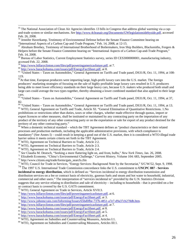<sup>58</sup> Bureau of Labor Statistics, Current Employment Statistics survey, series ID CES3000000001, manufacturing industry, accessed Feb. 22, 2008.

<sup>59</sup> http://www.hillaryclinton.com/files/pdf/poweringamericasfuture.pdf, at 7.

<sup>60</sup> http://www.barackobama.com/issues/pdf/EnergyFactSheet.pdf, at 8.

<sup>61</sup> "United States – Taxes on Automobiles," General Agreement on Tariffs and Trade panel, DS31/R, Oct. 11, 1994, at 108-119.

 $62$ At that time, European producers were importing large, high-profit luxury cars into the U.S. market. The foreign producers' marketing strategies of focusing on the sale of highly profitable large luxury cars resulted in U.S. producers being able to meet lower efficiency standards on their large heavy cars, because U.S. makers who produced both small and large cars could average the two types together, thereby obtaining a lower combined standard that also applied to their large cars.

 $63$  "United States – Taxes on Automobiles," General Agreement on Tariffs and Trade panel, DS31/R, Oct. 11, 1994, at 37, 82.

<sup>64</sup> "United States – Taxes on Automobiles," General Agreement on Tariffs and Trade panel, DS31/R, Oct. 11, 1994, at 13.

<sup>65</sup> WTO, General Agreement on Tariffs and Trade, Article XI. "General Elimination of Quantitative Restrictions. 1.No prohibitions or restrictions other than duties, taxes or other charges, whether made effective through quotas, import or export licences or other measures, shall be instituted or maintained by any contracting party on the importation of any product of the territory of any other contracting party or on the exportation or sale for export of any product destined for the territory of any other contracting party."

<sup>66</sup> When a domestic technical standard – which the TBT Agreement defines as "product characteristics or their related processes and production methods, including the applicable administrative provisions, with which compliance is mandatory" (See Annex I) – could result in keeping a good out of the U.S. market, then it is considered a WTO-illegal trade barrier unless it meets certain criteria set forth in the TBT Agreement.

<sup>67</sup> WTO, Agreement on Technical Barriers to Trade, Article 2:2.

<sup>68</sup> WTO, Agreement on Technical Barriers to Trade, Article 2:3.

<sup>69</sup> WTO, Agreement on Technical Barriers to Trade, Article 2:4.

<sup>70</sup> *See* Claudia M. Deutsch, "Seeking a more flattering light on, and from, bulbs," *New York Times,* Jan. 26, 2008.

<sup>71</sup> Elizabeth Economy, "China's Environmental Challenge," *Current History,* Volume 104: 683, September 2005.

<sup>72</sup> http://www.citizen.org/trade/forms/gats\_search.cfm

<sup>73</sup> WTO, Council for Trade in Services, "Energy Services: Background Note by the Secretariat," S/C/W/52, Sept. 9, 1998.

<sup>74</sup> The 1997 U.S. International Trade Commission concordance links the U.S. commitment to **UNCPC 887 - Services incidental to energy distribution**, which is defined as: "Services incidental to energy distribution transmission and distribution services on a fee or contract basis of electricity, gaseous fuels and steam and hot water to household, industrial, commercial and other users." The interpretation of "services incidental to" provided by the U.N. Statistics Division suggests that any service relating to distribution and sale of electricity – including to households - that is provided on a fee

or contract basis is covered by the U.S. GATS commitment. <sup>75</sup> WTO, General Agreement on Trade in Services, Article XVII:3.

<sup>76</sup> http://www.hillaryclinton.com/files/pdf/poweringamericasfuture.pdf, at 6.

- <sup>77</sup> http://www.barackobama.com/issues/pdf/EnergyFactSheet.pdf, at 3.
- <sup>78</sup> http://www.johnmccain.com/Informing/Issues/65bd0fbe-737b-4851-a7e7-d9a37cb278db.htm.
- $79 \frac{\text{http://www.hillaryclinton.com/files/pdf/poweringamericasfuture.pdf}}{$ http://www.hillaryclinton.com/files/pdf/poweringamericasfuture.pdf, at 7.
- <sup>80</sup> http://www.barackobama.com/issues/pdf/EnergyFactSheet.pdf, at 8.
- $81 \frac{\text{http://www.barackobama.com/issues/pdf/EnergyFactSheet.pdf}}{\text{http://www.barackobama.com/issues/pdf/EnergyFactSheet.pdf}}$ , at 5.
- <sup>82</sup> http://www.barackobama.com/issues/pdf/EnergyFactSheet.pdf, at 4.

<sup>83</sup> WTO, Agreement on Subsidies and Countervailing Measures, Articles I:1.

<sup>84</sup> WTO, Agreement on Subsidies and Countervailing Measures, Articles III:1.

<sup>&</sup>lt;sup>55</sup> The National Association of Clean Air Agencies identifies 13 bills in Congress that address global warming via a capand-trade system or similar mechanisms. *See* http://www.4cleanair.org/Documents/GWlegislationsidebyside.pdf, accessed Feb. 26, 2008.

<sup>&</sup>lt;sup>56</sup> Jennifer Haverkamp, Testimony of Environmental Defense before the Senate Finance Committee hearing on "International Aspects of a Carbon Cap-and-Trade Program," Feb. 14, 2008, at 12-15.

<sup>57</sup> Abraham Breehey, Testimony of International Brotherhood of Boilermakers, Iron Ship Builders, Blacksmiths, Forgers & Helpers before the Senate Finance Committee hearing on "International Aspects of a Carbon Cap-and-Trade Program," Feb. 14, 2008.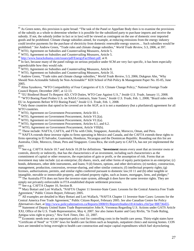<sup>85</sup> As Green notes, this provision is quite broad: "The task of the Panel or Appellate Body then is to examine the provisions of the subsidy as a whole to determine whether it is possible for the subsidized party to purchase imports and receive the subsidy. If not, the subsidy (either in fact or in law) will be viewed as contingent on the use of domestic over imported goods and be prohibited. Climate change subsidies aimed, for example, at reducing emissions from the energy industry could involve payments for the purchase of electricity from domestic renewable energy sources… Such subsidies would be prohibited." *See* Andrew Green, "Trade rules and climate change subsidies," *World Trade Review,* 5:3, 2006, at 397. <sup>86</sup> WTO, Agreement on Subsidies and Countervailing Measures, Article 5.

<sup>87</sup> WTO, Agreement on Subsidies and Countervailing Measures, Article 5.

<sup>88</sup> http://www.barackobama.com/issues/pdf/EnergyFactSheet.pdf, at 8.

 $89$  In fact, because many of the panel rulings on serious prejudice under SCM are very fact specific, it has been especially unpredictable how they would rule.

 $90$  WTO, Agreement on Subsidies and Countervailing Measures, Article 8.

<sup>91</sup> WTO, Agreement on Subsidies and Countervailing Measures, Article 31.

<sup>92</sup> Andrew Green, "Trade rules and climate change subsidies," *World Trade Review,* 5:3, 2006; Dukgeun Ahn, "Why Should Non-Actionable Subsidy be Non-Actionable?" KDI School of Pub Policy & Management Paper No. 05-05, June 2005.

93 Alina Syunkova, "WTO Compatibility of Four Categories of U.S. Climate Change Policy," National Foreign Trade Council Report, December 2007, at 12-13.

<sup>94</sup> "EU Biodiesel Board To Request AD, CVD Duties, WTO Case Against U.S.," *Inside U.S. Trade,* January 11, 2008.

<sup>95</sup> "WTO Boeing Panel Probes U.S. on NASA Contracts, State Taxes," *Inside U.S. Trade,* Feb. 1, 2008; "Brazil sides with EU in Arguments Before WTO Boeing Panel," *Inside U.S. Trade,* Feb. 1, 2008.

<sup>96</sup> Only those countries that opted to be covered are in the AGP, as it is not a mandatory (but a plurilateral) agreement for all WTO countries.

<sup>97</sup> WTO, Agreement on Government Procurement, Article III:1.

<sup>98</sup> WTO, Agreement on Government Procurement, Article VI:2(a).

<sup>98</sup> WTO, Agreement on Government Procurement, Article VI:2(a).

<sup>99</sup> WTO, Agreement on Government Procurement, Articles 6.1, and 6.2.

<sup>100</sup> WTO, Agreement on Government Procurement, Article VIII(b).

<sup>101</sup> These include: NAFTA, CAFTA, and FTAs with Chile, Singapore, Australia, Morocco, Oman, and Peru.

<sup>102</sup> NAFTA extends these investor rights to firms operating in Mexico and Canada, and the CAFTA extends these rights to firms operating in El Salvador, Guatemala, Honduras, Nicaragua and the Dominican Republic. Rounding out this list are Australia, Chile, Morocco, Oman, Peru and Singapore. Costa Rica, the sixth party to CAFTA, has not yet implemented the pact.

<sup>103</sup> See e.g. CAFTA Article 10.7 and Article 10.28 for definitions. "**investment** means every asset that an investor owns or controls, directly or indirectly, that has the characteristics of an investment, including such characteristics as the commitment of capital or other resources, the expectation of gain or profit, or the assumption of risk. Forms that an investment may take include: (a) an enterprise; (b) shares, stock, and other forms of equity participation in an enterprise; (c) bonds, debentures, other debt instruments, and loans; 9 (d) futures, options, and other derivatives; (e) turnkey, construction, management, production, concession, revenue-sharing, and other similar contracts; (f) intellectual property rights; (g) licenses, authorizations, permits, and similar rights conferred pursuant to domestic law;10 11 and (h) other tangible or intangible, movable or immovable property, and related property rights, such as leases, mortgages, liens, and pledges;" <sup>104</sup> The Australia FTA does not have the investor-state system, although it does have the same investor rights. They are

simply not privately enforceable in FTA-established dispute settlement processes.

<sup>105</sup> See e.g. CAFTA Chapter 10, Section B.

<sup>106</sup> Mary Bottari and Lori Wallach, "NAFTA Chapter 11 Investor-State Cases: Lessons for the Central America Free Trade Agreement," Public Citizen Report, February 2005.

 $107$  All examples are detailed in Mary Bottari and Lori Wallach, "NAFTA Chapter 11 Investor-State Cases: Lessons for the Central America Free Trade Agreement," Public Citizen Report, February 2005. *See* also Canadian Centre for Policy Alternatives chart, at http://www.policyalternatives.ca/Reports/2008/01/ReportsStudies1814/index.cfm?pa=BB736455.

<sup>108</sup> Statement of Deputy United States Trade Representative John K. Veroneau Regarding U.S. Actions under GATS Article XXI, Office of the U.S. Trade Representative, May 4, 2007. *See* also James Kanter and Gary Rivlin, "In Trade Ruling, Antigua wins right to piracy," *New York Times,* Dec. 22, 2007.

<sup>109</sup> Economic needs tests are an important policy tool for controlling costs in the health care arena. Thirty-eight states have "Certificate of Need" or "CON" laws for health care facilities such as hospitals, outpatient clinics and nursing homes. CON laws are intended to bring oversight to health care construction and major capital expenditures which fuel skyrocketing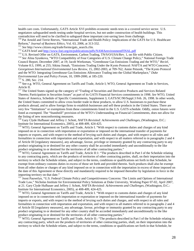health care costs. Unfortunately, GATS Article XVI prohibits economic needs tests in a covered service sector. U.S. negotiators safeguarded needs testing under hospital services, but not under construction of health buildings. This contradiction will need to be clarified to safeguard these important cost-saving laws from challenge.

<sup>110</sup> Pat Arnold and Terrie Reeves, "International Trade and Health Policy: Implications of the GATS for U.S. Healthcare Reform," *Journal of Business Ethics*, Vol. 63, 2006, at 313-332.

<sup>111</sup> *See* http://www.citizen.org/trade/forms/gats\_search.cfm.

<sup>112</sup> GATS brief and http://www.foei.org/en/publications/pdfs/NAMAenvironmentFINAL.pdf

<sup>113</sup> U.S. Revised Offer on GATS, Environment, Carbon Trading, TN/S/O/USA/Rev. 1, on file with Public Citizen. <sup>114</sup> See Alina Syunkova, "WTO Compatibility of Four Categories of U.S. Climate Change Policy," National Foreign Trade Council Report, December 2007, at 19; Jacob Werksman, "Greenhouse Gas Emissions Trading and the WTO," *Reciel,* Volume 8:3, 1999, at 255; Sikina Jinnah, "Emissions Trading Under the Kyoto Protocol: NAFTA and WTO Concerns," *Georgetown International Environmental Law Review,* 15, 2002-2003, at 709-762; Annie Petsonk, "The Kyoto Protocol and the WTO: Integrating Greenhouse Gas Emissions Allowance Trading into the Global Marketplace," *Duke Environmental Law and Policy Forum,* 10, 1999-2000, at 185-220.

<sup>115</sup> S. 280, Sec. 214.

<sup>116</sup> See e.g. WTO, General Agreement on Tariffs and Trade, Article I; WTO, General Agreement on Trade in Services, Article II.

<sup>117</sup> The United States signed up the category of "Trading of Securities and Derivative Products and Services Related Thereto; Participation in Securities Issues" as part of its GATS Financial Services commitments in 1998. *See* WTO, United States of America, Schedule of Specific Commitments, Supplement 3, GATS/SC/90/Suppl.3 Feb. 26, 1998. In other words, the United States committed to allow cross border trade in these products, to allow U.S. businesses to purchase these products abroad, and to allow foreign firms to establish businesses and sell these products in the United States. There are very few "limitations" or exemptions from these commitments listed in the U.S. GATS schedule. Oddly, onion futures were listed as exempted. The "Standstill" provision of the WTO's Understanding on Financial Commitments, does not allow for the listing of new nonconforming measures.

<sup>118</sup> Gary Clyde Hufbauer and Jeffrey J. Schott, *NAFTA Revisited: Achievements and Challenges,* (Washington, D.C.: Institute for International Economics, 2005), at 408-409, 424-425.

<sup>119</sup> WTO, General Agreement on Tariffs and Trade, Article I. "With respect to customs duties and charges of any kind imposed on or in connection with importation or exportation or imposed on the international transfer of payments for imports or exports, and with respect to the method of levying such duties and charges, and with respect to all rules and formalities in connection with importation and exportation, and with respect to all matters referred to in paragraphs 2 and 4 of Article III [regulatory measures], any advantage, favour, privilege or immunity granted by any contracting party to any product originating in or destined for any other country shall be accorded immediately and unconditionally to the like product originating in or destined for the territories of all other contracting parties."

<sup>120</sup> WTO, General Agreement on Tariffs and Trade, Article II:1: "The products described in Part I of the Schedule relating to any contracting party, which are the products of territories of other contracting parties, shall, on their importation into the territory to which the Schedule relates, and subject to the terms, conditions or qualifications set forth in that Schedule, be exempt from ordinary customs duties in excess of those set forth and provided therein. Such products shall also be exempt from all other duties or charges of any kind imposed on or in connection with the importation in excess of those imposed on the date of this Agreement or those directly and mandatorily required to be imposed thereafter by legislation in force in the importing territory on that date."

<sup>121</sup> Joost Pauwelyn, "U.S. Federal Climate Policy and Competitiveness Concerns: The Limits and Options of International Trade Law," Nicholas Institute for Environmental Policy Solutions at Duke University, Working Paper 07-02, April 2007, at 21. Gary Clyde Hufbauer and Jeffrey J. Schott, *NAFTA Revisited: Achievements and Challenges,* (Washington, D.C.: Institute for International Economics, 2005), at 408-409, 424-425.

<sup>121</sup> WTO, General Agreement on Tariffs and Trade, Article I. "With respect to customs duties and charges of any kind imposed on or in connection with importation or exportation or imposed on the international transfer of payments for imports or exports, and with respect to the method of levying such duties and charges, and with respect to all rules and formalities in connection with importation and exportation, and with respect to all matters referred to in paragraphs 2 and 4 of Article III [regulatory measures], any advantage, favour, privilege or immunity granted by any contracting party to any product originating in or destined for any other country shall be accorded immediately and unconditionally to the like product originating in or destined for the territories of all other contracting parties."

<sup>121</sup> WTO, General Agreement on Tariffs and Trade, Article II:: "The products described in Part I of the Schedule relating to any contracting party, which are the products of territories of other contracting parties, shall, on their importation into the territory to which the Schedule relates, and subject to the terms, conditions or qualifications set forth in that Schedule, be